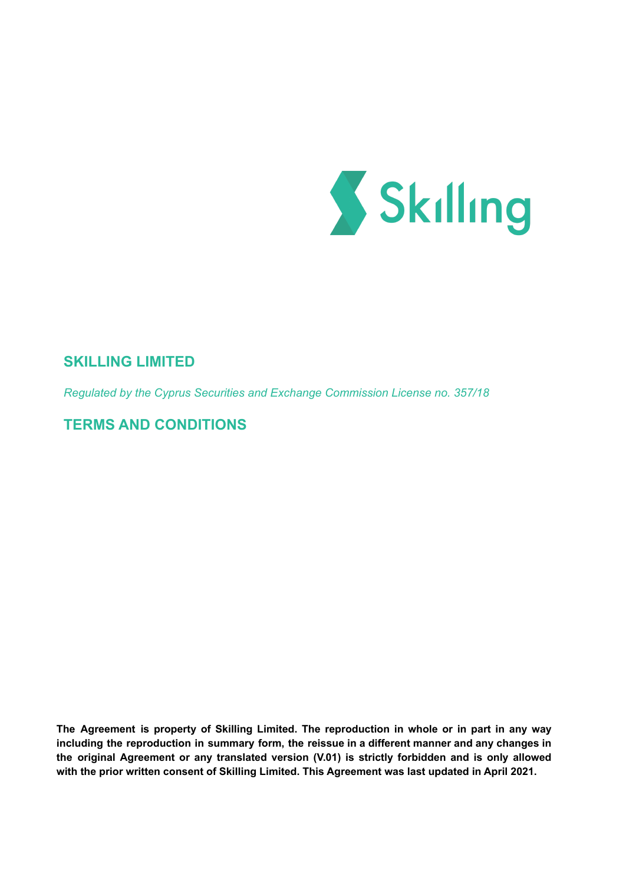

# **SKILLING LIMITED**

*Regulated by the Cyprus Securities and Exchange Commission License no. 357/18*

**TERMS AND CONDITIONS**

**The Agreement is property of Skilling Limited. The reproduction in whole or in part in any way including the reproduction in summary form, the reissue in a different manner and any changes in the original Agreement or any translated version (V.01) is strictly forbidden and is only allowed with the prior written consent of Skilling Limited. This Agreement was last updated in April 2021.**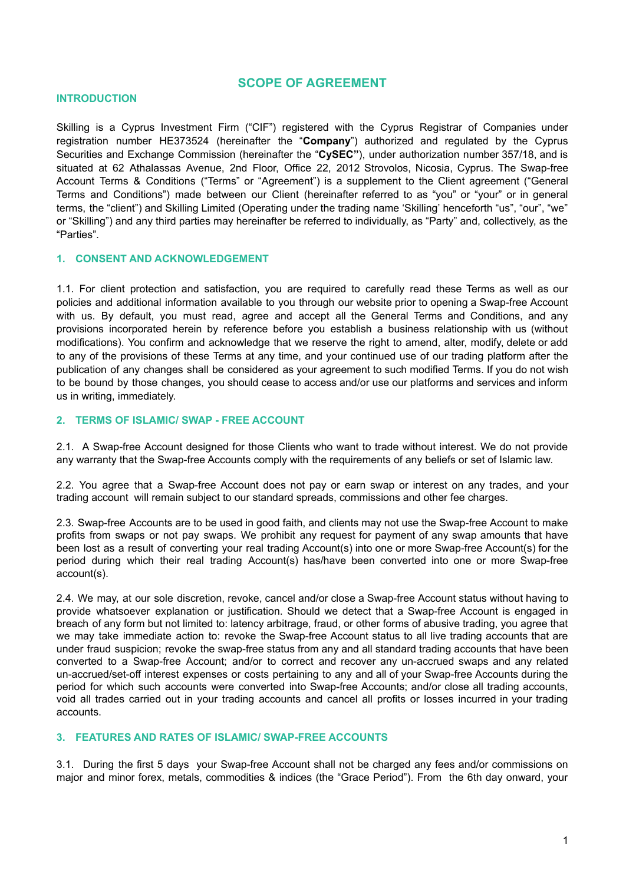## **SCOPE OF AGREEMENT**

#### **INTRODUCTION**

Skilling is a Cyprus Investment Firm ("CIF") registered with the Cyprus Registrar of Companies under registration number HE373524 (hereinafter the "**Company**") authorized and regulated by the Cyprus Securities and Exchange Commission (hereinafter the "**CySEC"**), under authorization number 357/18, and is situated at 62 Athalassas Avenue, 2nd Floor, Office 22, 2012 Strovolos, Nicosia, Cyprus. The Swap-free Account Terms & Conditions ("Terms" or "Agreement") is a supplement to the Client agreement ("General Terms and Conditions") made between our Client (hereinafter referred to as "you" or "your" or in general terms, the "client") and Skilling Limited (Operating under the trading name 'Skilling' henceforth "us", "our", "we" or "Skilling") and any third parties may hereinafter be referred to individually, as "Party" and, collectively, as the "Parties".

## **1. CONSENT AND ACKNOWLEDGEMENT**

1.1. For client protection and satisfaction, you are required to carefully read these Terms as well as our policies and additional information available to you through our website prior to opening a Swap-free Account with us. By default, you must read, agree and accept all the General Terms and Conditions, and any provisions incorporated herein by reference before you establish a business relationship with us (without modifications). You confirm and acknowledge that we reserve the right to amend, alter, modify, delete or add to any of the provisions of these Terms at any time, and your continued use of our trading platform after the publication of any changes shall be considered as your agreement to such modified Terms. If you do not wish to be bound by those changes, you should cease to access and/or use our platforms and services and inform us in writing, immediately.

#### **2. TERMS OF ISLAMIC/ SWAP - FREE ACCOUNT**

2.1. A Swap-free Account designed for those Clients who want to trade without interest. We do not provide any warranty that the Swap-free Accounts comply with the requirements of any beliefs or set of Islamic law.

2.2. You agree that a Swap-free Account does not pay or earn swap or interest on any trades, and your trading account will remain subject to our standard spreads, commissions and other fee charges.

2.3. Swap-free Accounts are to be used in good faith, and clients may not use the Swap-free Account to make profits from swaps or not pay swaps. We prohibit any request for payment of any swap amounts that have been lost as a result of converting your real trading Account(s) into one or more Swap-free Account(s) for the period during which their real trading Account(s) has/have been converted into one or more Swap-free account(s).

2.4. We may, at our sole discretion, revoke, cancel and/or close a Swap-free Account status without having to provide whatsoever explanation or justification. Should we detect that a Swap-free Account is engaged in breach of any form but not limited to: latency arbitrage, fraud, or other forms of abusive trading, you agree that we may take immediate action to: revoke the Swap-free Account status to all live trading accounts that are under fraud suspicion; revoke the swap-free status from any and all standard trading accounts that have been converted to a Swap-free Account; and/or to correct and recover any un-accrued swaps and any related un-accrued/set-off interest expenses or costs pertaining to any and all of your Swap-free Accounts during the period for which such accounts were converted into Swap-free Accounts; and/or close all trading accounts, void all trades carried out in your trading accounts and cancel all profits or losses incurred in your trading accounts.

#### **3. FEATURES AND RATES OF ISLAMIC/ SWAP-FREE ACCOUNTS**

3.1. During the first 5 days your Swap-free Account shall not be charged any fees and/or commissions on major and minor forex, metals, commodities & indices (the "Grace Period"). From the 6th day onward, your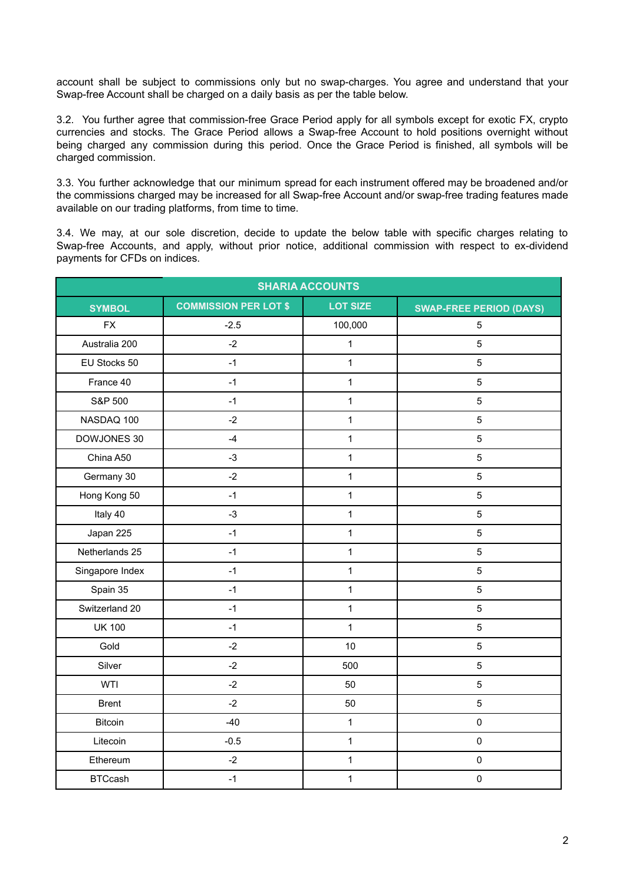account shall be subject to commissions only but no swap-charges. You agree and understand that your Swap-free Account shall be charged on a daily basis as per the table below.

3.2. You further agree that commission-free Grace Period apply for all symbols except for exotic FX, crypto currencies and stocks. The Grace Period allows a Swap-free Account to hold positions overnight without being charged any commission during this period. Once the Grace Period is finished, all symbols will be charged commission.

3.3. You further acknowledge that our minimum spread for each instrument offered may be broadened and/or the commissions charged may be increased for all Swap-free Account and/or swap-free trading features made available on our trading platforms, from time to time.

3.4. We may, at our sole discretion, decide to update the below table with specific charges relating to Swap-free Accounts, and apply, without prior notice, additional commission with respect to ex-dividend payments for CFDs on indices.

| <b>SHARIA ACCOUNTS</b> |                              |                 |                                |  |  |
|------------------------|------------------------------|-----------------|--------------------------------|--|--|
| <b>SYMBOL</b>          | <b>COMMISSION PER LOT \$</b> | <b>LOT SIZE</b> | <b>SWAP-FREE PERIOD (DAYS)</b> |  |  |
| <b>FX</b>              | $-2.5$                       | 100,000         | 5                              |  |  |
| Australia 200          | $-2$                         | $\mathbf 1$     | $\sqrt{5}$                     |  |  |
| EU Stocks 50           | $-1$                         | $\mathbf{1}$    | $\overline{5}$                 |  |  |
| France 40              | $-1$                         | $\mathbf{1}$    | $\overline{5}$                 |  |  |
| S&P 500                | $-1$                         | $\mathbf 1$     | $\sqrt{5}$                     |  |  |
| NASDAQ 100             | $-2$                         | $\mathbf{1}$    | 5                              |  |  |
| DOWJONES 30            | $-4$                         | $\mathbf{1}$    | $\mathbf 5$                    |  |  |
| China A50              | $-3$                         | $\mathbf{1}$    | $\sqrt{5}$                     |  |  |
| Germany 30             | $-2$                         | 1               | $\sqrt{5}$                     |  |  |
| Hong Kong 50           | $-1$                         | $\mathbf 1$     | $\sqrt{5}$                     |  |  |
| Italy 40               | $-3$                         | $\mathbf 1$     | $\overline{5}$                 |  |  |
| Japan 225              | $-1$                         | $\mathbf 1$     | $\overline{5}$                 |  |  |
| Netherlands 25         | $-1$                         | $\mathbf 1$     | $\sqrt{5}$                     |  |  |
| Singapore Index        | $-1$                         | $\mathbf{1}$    | 5                              |  |  |
| Spain 35               | $-1$                         | $\mathbf 1$     | $\sqrt{5}$                     |  |  |
| Switzerland 20         | $-1$                         | $\mathbf{1}$    | $\mathbf 5$                    |  |  |
| <b>UK 100</b>          | $-1$                         | $\mathbf{1}$    | $\overline{5}$                 |  |  |
| Gold                   | $-2$                         | 10              | $\sqrt{5}$                     |  |  |
| Silver                 | $-2$                         | 500             | $\overline{5}$                 |  |  |
| WTI                    | $-2$                         | 50              | $\sqrt{5}$                     |  |  |
| <b>Brent</b>           | $-2$                         | 50              | $\sqrt{5}$                     |  |  |
| <b>Bitcoin</b>         | $-40$                        | $\mathbf{1}$    | $\pmb{0}$                      |  |  |
| Litecoin               | $-0.5$                       | $\mathbf{1}$    | $\pmb{0}$                      |  |  |
| Ethereum               | $-2$                         | $\mathbf{1}$    | $\mathbf 0$                    |  |  |
| <b>BTCcash</b>         | $-1$                         | $\mathbf{1}$    | $\pmb{0}$                      |  |  |